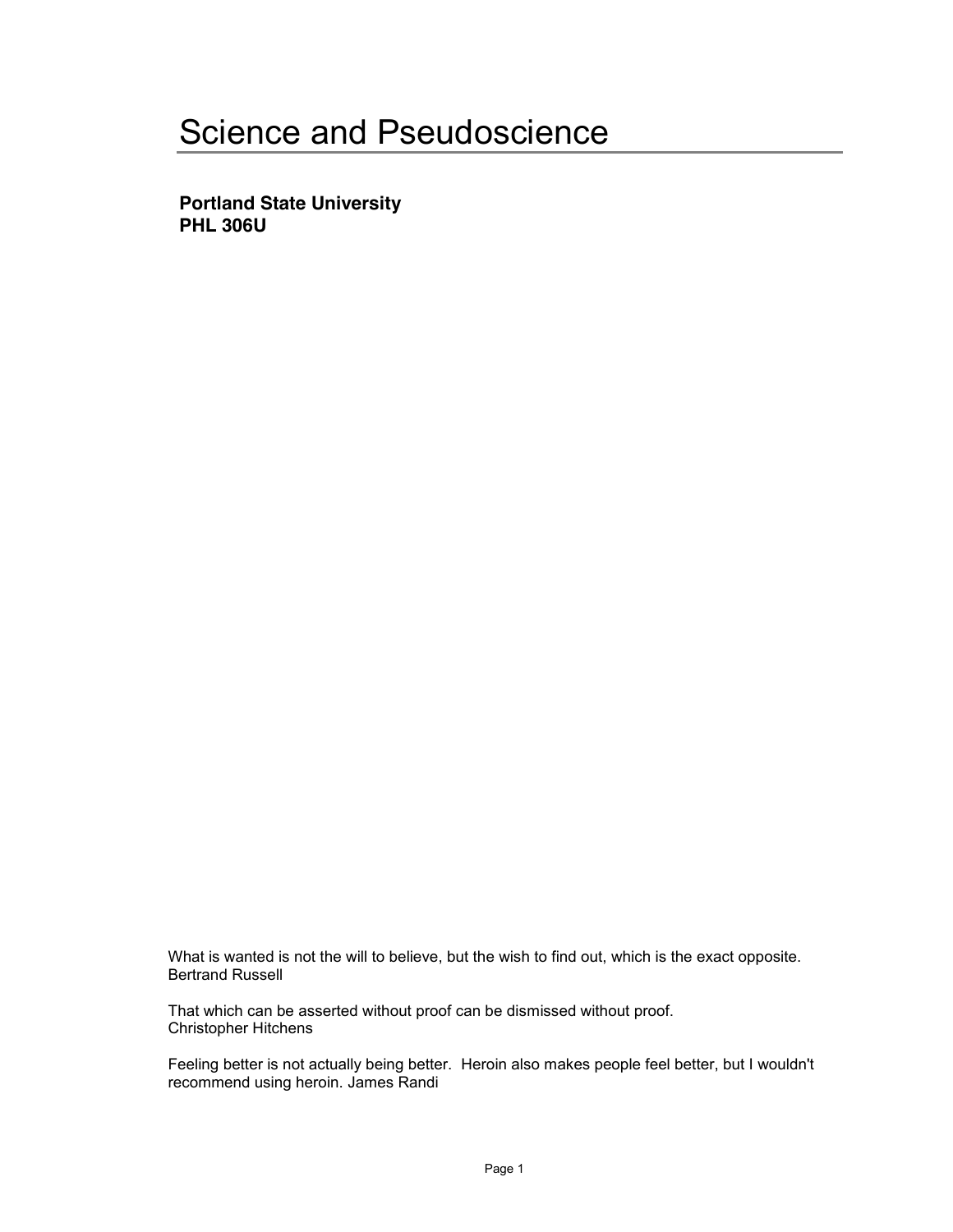# Science and Pseudoscience

**Portland State University PHL 306U**

What is wanted is not the will to believe, but the wish to find out, which is the exact opposite. Bertrand Russell

That which can be asserted without proof can be dismissed without proof. Christopher Hitchens

Feeling better is not actually being better. Heroin also makes people feel better, but I wouldn't recommend using heroin. James Randi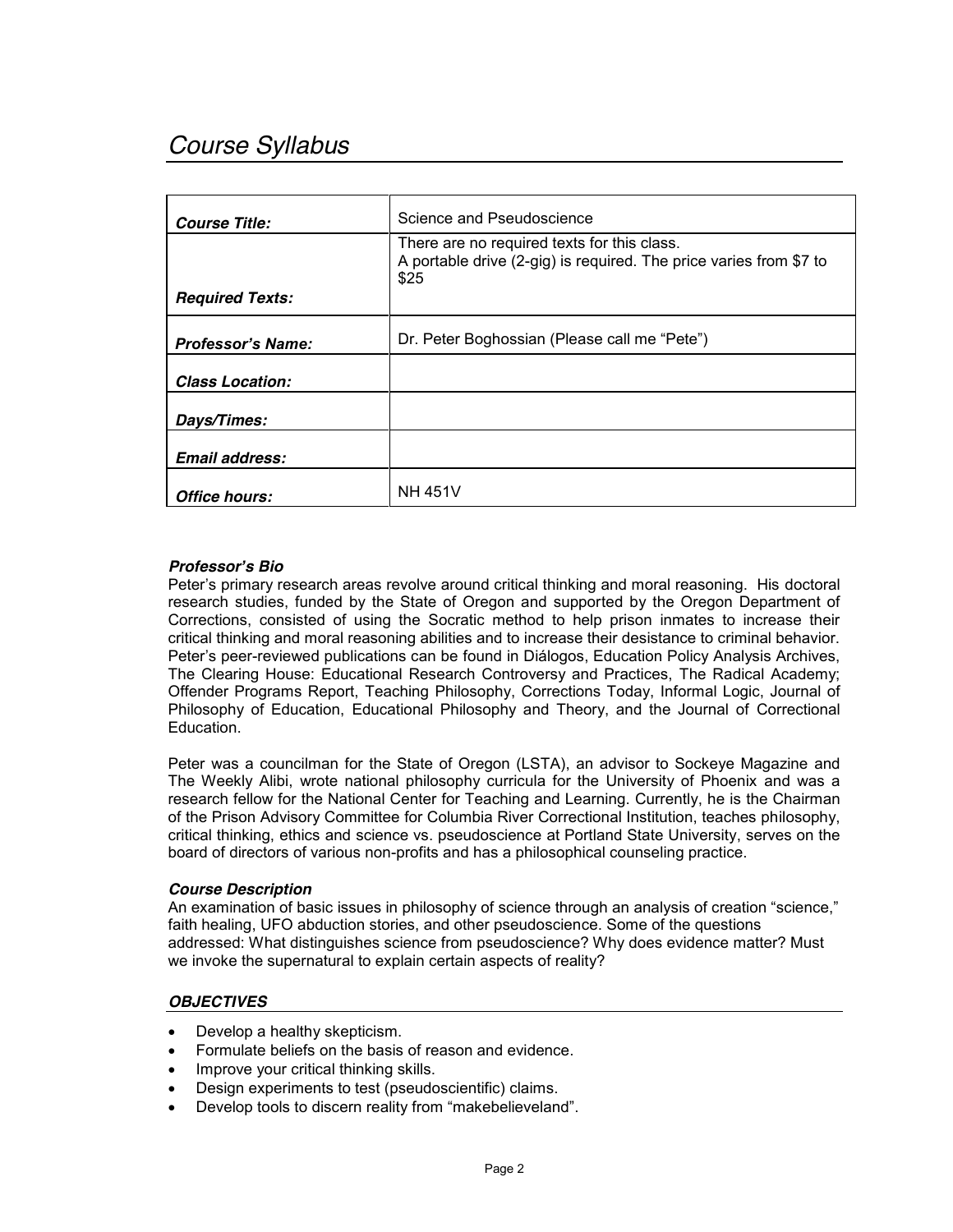# *Course Syllabus*

| Course Title:            | Science and Pseudoscience                                                                                                 |
|--------------------------|---------------------------------------------------------------------------------------------------------------------------|
|                          | There are no required texts for this class.<br>A portable drive (2-gig) is required. The price varies from \$7 to<br>\$25 |
| <b>Required Texts:</b>   |                                                                                                                           |
| <b>Professor's Name:</b> | Dr. Peter Boghossian (Please call me "Pete")                                                                              |
| <b>Class Location:</b>   |                                                                                                                           |
| Days/Times:              |                                                                                                                           |
| <b>Email address:</b>    |                                                                                                                           |
| Office hours:            | <b>NH 451V</b>                                                                                                            |

# *Professor¶s Bio*

Peter's primary research areas revolve around critical thinking and moral reasoning. His doctoral research studies, funded by the State of Oregon and supported by the Oregon Department of Corrections, consisted of using the Socratic method to help prison inmates to increase their critical thinking and moral reasoning abilities and to increase their desistance to criminal behavior. Peter's peer-reviewed publications can be found in Diálogos, Education Policy Analysis Archives, The Clearing House: Educational Research Controversy and Practices, The Radical Academy; Offender Programs Report, Teaching Philosophy, Corrections Today, Informal Logic, Journal of Philosophy of Education, Educational Philosophy and Theory, and the Journal of Correctional Education.

Peter was a councilman for the State of Oregon (LSTA), an advisor to Sockeye Magazine and The Weekly Alibi, wrote national philosophy curricula for the University of Phoenix and was a research fellow for the National Center for Teaching and Learning. Currently, he is the Chairman of the Prison Advisory Committee for Columbia River Correctional Institution, teaches philosophy, critical thinking, ethics and science vs. pseudoscience at Portland State University, serves on the board of directors of various non-profits and has a philosophical counseling practice.

#### *Course Description*

An examination of basic issues in philosophy of science through an analysis of creation "science," faith healing, UFO abduction stories, and other pseudoscience. Some of the questions addressed: What distinguishes science from pseudoscience? Why does evidence matter? Must we invoke the supernatural to explain certain aspects of reality?

#### *OBJECTIVES*

- Develop a healthy skepticism.
- Formulate beliefs on the basis of reason and evidence.
- Improve your critical thinking skills.
- Design experiments to test (pseudoscientific) claims.
- Develop tools to discern reality from "makebelieveland".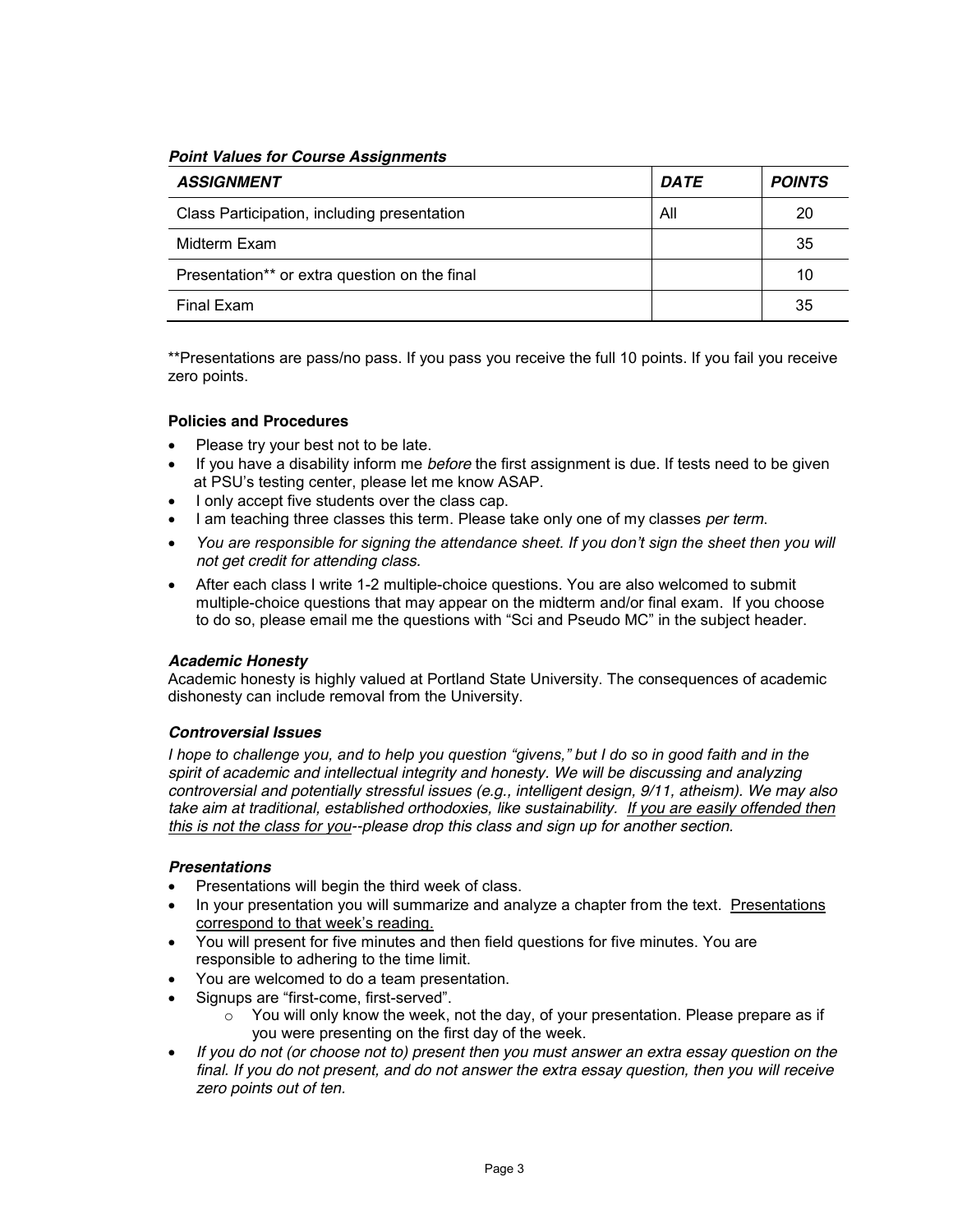*Point Values for Course Assignments*

| <b>ASSIGNMENT</b>                             | <b>DATE</b> | <b>POINTS</b> |
|-----------------------------------------------|-------------|---------------|
| Class Participation, including presentation   | All         | 20            |
| Midterm Exam                                  |             | 35            |
| Presentation** or extra question on the final |             | 10            |
| Final Exam                                    |             | 35            |

\*\*Presentations are pass/no pass. If you pass you receive the full 10 points. If you fail you receive zero points.

# **Policies and Procedures**

- Please try your best not to be late.
- If you have a disability inform me *before* the first assignment is due. If tests need to be given at PSU's testing center, please let me know ASAP.
- I only accept five students over the class cap.
- **Example 2** I am teaching three classes this term. Please take only one of my classes *per term*.
- You are responsible for signing the attendance sheet. If you don't sign the sheet then you will *not get credit for attending class.*
- After each class I write 1-2 multiple-choice questions. You are also welcomed to submit multiple-choice questions that may appear on the midterm and/or final exam. If you choose to do so, please email me the questions with "Sci and Pseudo MC" in the subject header.

# *Academic Honesty*

Academic honesty is highly valued at Portland State University. The consequences of academic dishonesty can include removal from the University.

# *Controversial Issues*

*I* hope to challenge you, and to help you question "givens," but I do so in good faith and in the *spirit of academic and intellectual integrity and honesty. We will be discussing and analyzing controversial and potentially stressful issues (e.g., intelligent design, 9/11, atheism). We may also take aim at traditional, established orthodoxies, like sustainability. If you are easily offended then this is not the class for you--please drop this class and sign up for another section.*

# *Presentations*

- Presentations will begin the third week of class.
- In your presentation you will summarize and analyze a chapter from the text. Presentations correspond to that week's reading.
- You will present for five minutes and then field questions for five minutes. You are responsible to adhering to the time limit.
- x You are welcomed to do a team presentation.
- Signups are "first-come, first-served".
	- $\circ$  You will only know the week, not the day, of your presentation. Please prepare as if you were presenting on the first day of the week.
- x *If you do not (or choose not to) present then you must answer an extra essay question on the final. If you do not present, and do not answer the extra essay question, then you will receive zero points out of ten.*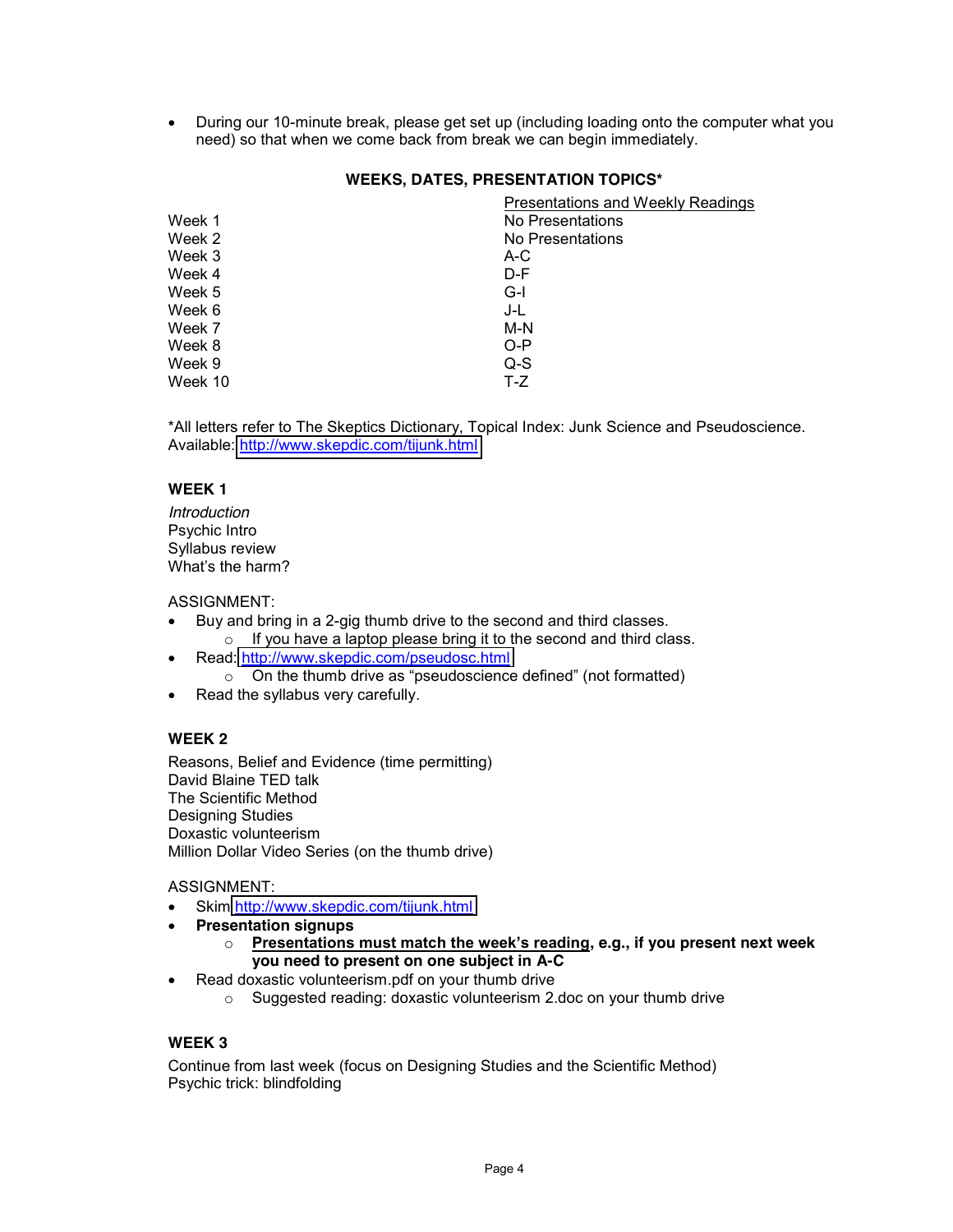• During our 10-minute break, please get set up (including loading onto the computer what you need) so that when we come back from break we can begin immediately.

# **WEEKS, DATES, PRESENTATION TOPICS\***

|         | <b>Presentations and Weekly Readings</b> |
|---------|------------------------------------------|
| Week 1  | No Presentations                         |
| Week 2  | No Presentations                         |
| Week 3  | A-C                                      |
| Week 4  | D-F                                      |
| Week 5  | G-I                                      |
| Week 6  | J-L                                      |
| Week 7  | M-N                                      |
| Week 8  | $O-P$                                    |
| Week 9  | $Q-S$                                    |
| Week 10 | $T-Z$                                    |

\*All letters refer to The Skeptics Dictionary, Topical Index: Junk Science and Pseudoscience. Available:<http://www.skepdic.com/tijunk.html>

#### **WEEK 1**

*Introduction*  Psychic Intro Syllabus review  $\overline{W}$ hat's the harm?

#### ASSIGNMENT:

- Buy and bring in a 2-gig thumb drive to the second and third classes.  $\circ$  If you have a laptop please bring it to the second and third class.
- Read:<http://www.skepdic.com/pseudosc.html>
	- $\circ$  On the thumb drive as "pseudoscience defined" (not formatted)
- $\bullet$  Read the syllabus very carefully.

# **WEEK 2**

Reasons, Belief and Evidence (time permitting) David Blaine TED talk The Scientific Method Designing Studies Doxastic volunteerism Million Dollar Video Series (on the thumb drive)

#### ASSIGNMENT:

- Skim<http://www.skepdic.com/tijunk.html>
- **•** Presentation signups
	- $\circ$  **Presentations must match the week's reading, e.g., if you present next week you need to present on one subject in A-C**
- Read doxastic volunteerism.pdf on your thumb drive
	- o Suggested reading: doxastic volunteerism 2.doc on your thumb drive

# **WEEK 3**

Continue from last week (focus on Designing Studies and the Scientific Method) Psychic trick: blindfolding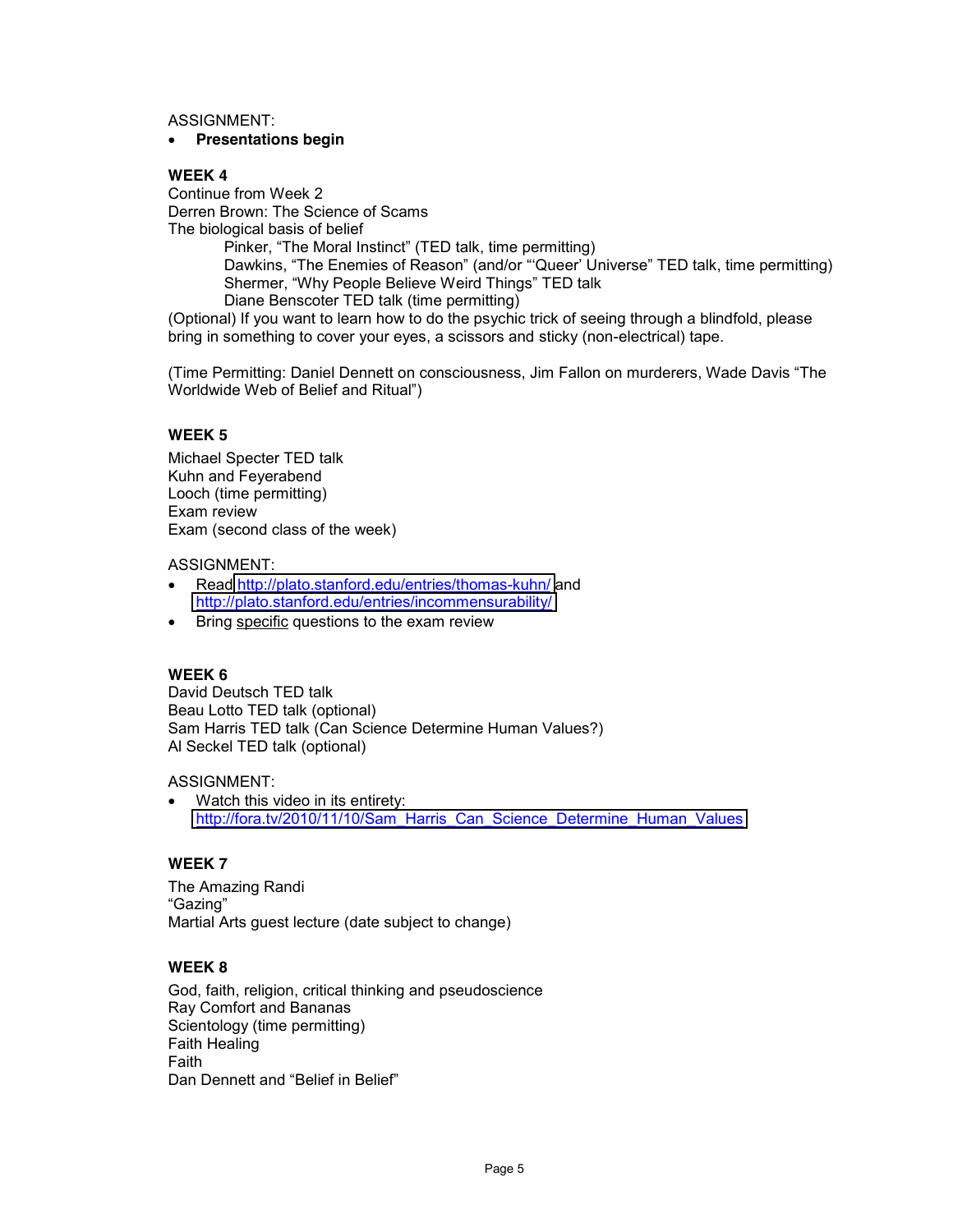ASSIGNMENT:

#### **•** Presentations begin

# **WEEK 4**

Continue from Week 2 Derren Brown: The Science of Scams The biological basis of belief

Pinker, "The Moral Instinct" (TED talk, time permitting) Dawkins, "The Enemies of Reason" (and/or "'Queer' Universe" TED talk, time permitting) Shermer, "Why People Believe Weird Things" TED talk Diane Benscoter TED talk (time permitting)

(Optional) If you want to learn how to do the psychic trick of seeing through a blindfold, please bring in something to cover your eyes, a scissors and sticky (non-electrical) tape.

(Time Permitting: Daniel Dennett on consciousness, Jim Fallon on murderers, Wade Davis "The Worldwide Web of Belief and Ritual")

# **WEEK 5**

Michael Specter TED talk Kuhn and Feyerabend Looch (time permitting) Exam review Exam (second class of the week)

ASSIGNMENT:

- Read<http://plato.stanford.edu/entries/thomas-kuhn/> and <http://plato.stanford.edu/entries/incommensurability/>
- Bring specific questions to the exam review

#### **WEEK 6**

David Deutsch TED talk Beau Lotto TED talk (optional) Sam Harris TED talk (Can Science Determine Human Values?) Al Seckel TED talk (optional)

#### ASSIGNMENT:

Watch this video in its entirety: [http://fora.tv/2010/11/10/Sam\\_Harris\\_Can\\_Science\\_Determine\\_Human\\_Values](http://fora.tv/2010/11/10/Sam_Harris_Can_Science_Determine_Human_Values)

#### **WEEK 7**

The Amazing Randi "Gazing" Martial Arts guest lecture (date subject to change)

# **WEEK 8**

God, faith, religion, critical thinking and pseudoscience Ray Comfort and Bananas Scientology (time permitting) Faith Healing Faith Dan Dennett and "Belief in Belief"